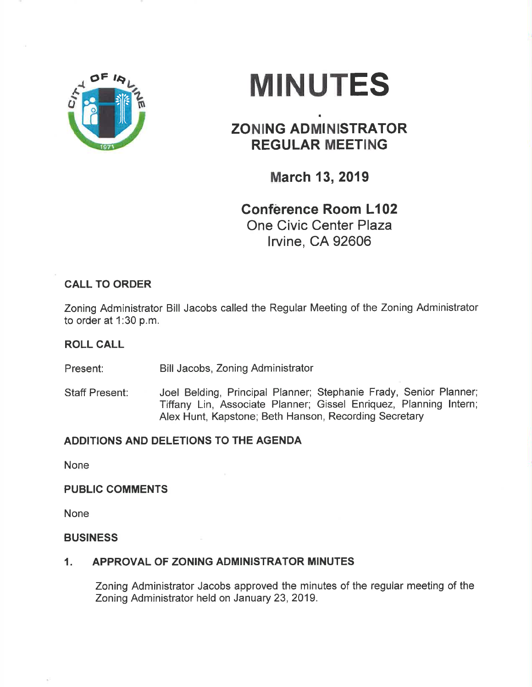

# **MINUTES**

## ZONING ADMINISTRATOR REGULAR MEETING

I

March 13, 2019

# Confêrence Room L102 One Civic Center Plaza

lrvine, CA 92606

## CALL TO ORDER

Zoning Administrator Bill Jacobs called the Regular Meeting of the Zoning Administrator to order at 1:30 p.m.

#### ROLL CALL

Present: Bill Jacobs, Zoning Administrator

Staff Present: Joel Belding, Principal Planner; Stephanie Frady, Senior Planner; Tiffany Lin, Associate Planner; Gissel Enriquez, Planning lntern; Alex Hunt, Kapstone; Beth Hanson, Recording Secretary

### ADDITIONS AND DELETIONS TO THE AGENDA

None

#### PUBLIC COMMENTS

None

#### **BUSINESS**

#### 1, APPROVAL OF ZONING ADMINISTRATOR MINUTES

Zoning Administrator Jacobs approved the minutes of the regular meeting of the Zoning Administrator held on January 23,2019.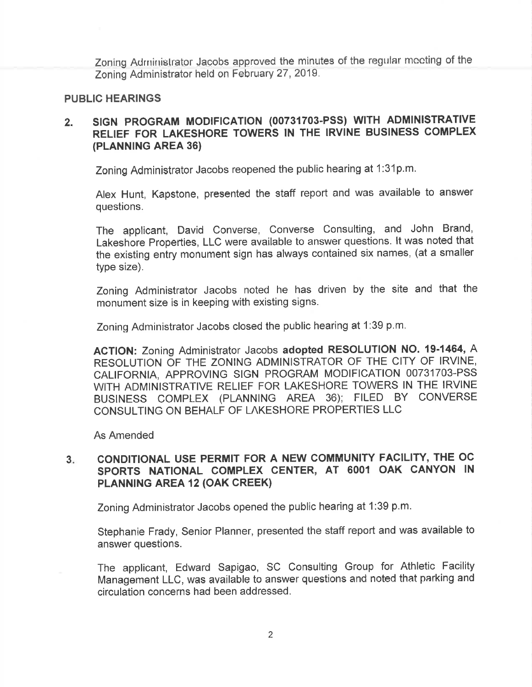Zoning Administrator Jacobs approved the minutes of the regular meeting of the Zoning Administrator held on February 27,2019.

#### PUBLIC HEARINGS

#### 2. SIGN PROGRAM MODIFICATION (00731703-PSS) WITH ADMINISTRATIVE RELIEF FOR LAKESHORE TOWERS IN THE IRVINE BUSINESS COMPLEX (PLANNING AREA 36)

Zoning Administrator Jacobs reopened the public hearing at 1:31p.m.

Alex Hunt, Kapstone, presented the staff report and was available to answer questions.

The applicant, David Converse, Converse Consulting, and John Brand, Lakeshore Propefties, LLC were available to answer questions. lt was noted that the existing entry monument sign has always contained six names, (at a smaller type size).

Zoning Administrator Jacobs noted he has driven by the site and that the monument size is in keeping with existing signs.

Zoning Administrator Jacobs closed the public hearing at 1:39 p.m.

ACTION: Zoning Administrator Jacobs adopted RESOLUTION NO. 19-1464, A RESOLUTION OF THE ZONING ADMINISTRATOR OF THE CITY OF IRVINE, CALIFORNIA, APPROVING SIGN PROGRAM MODIFICATION 00731703-PSS WITH ADMINISTRATIVE RELIEF FOR LAKESHORE TOWERS IN THE IRVINE BUSINESS COMPLEX (PLANNING AREA 36); FILED BY CONVERSE CONSULTING ON BEHALF OF LAKESHORE PROPERTIES LLC

As Amended

#### CONDITIONAL USE PERMIT FOR A NEW COMMUNITY FACILITY, THE OC SPORTS NATIONAL COMPLEX CENTER, AT 6001 OAK CANYON IN PLANNING AREA 12 (OAK CREEK)  $3 -$

Zoning Administrator Jacobs opened the public hearing at 1:39 p.m.

Stephanie Frady, Senior Planner, presented the staff report and was available to answer questions.

The applicant, Edward Sapigao, SC Consulting Group for Athletic Facility Management LLC, was available to answer questions and noted that parking and circulation concerns had been addressed.